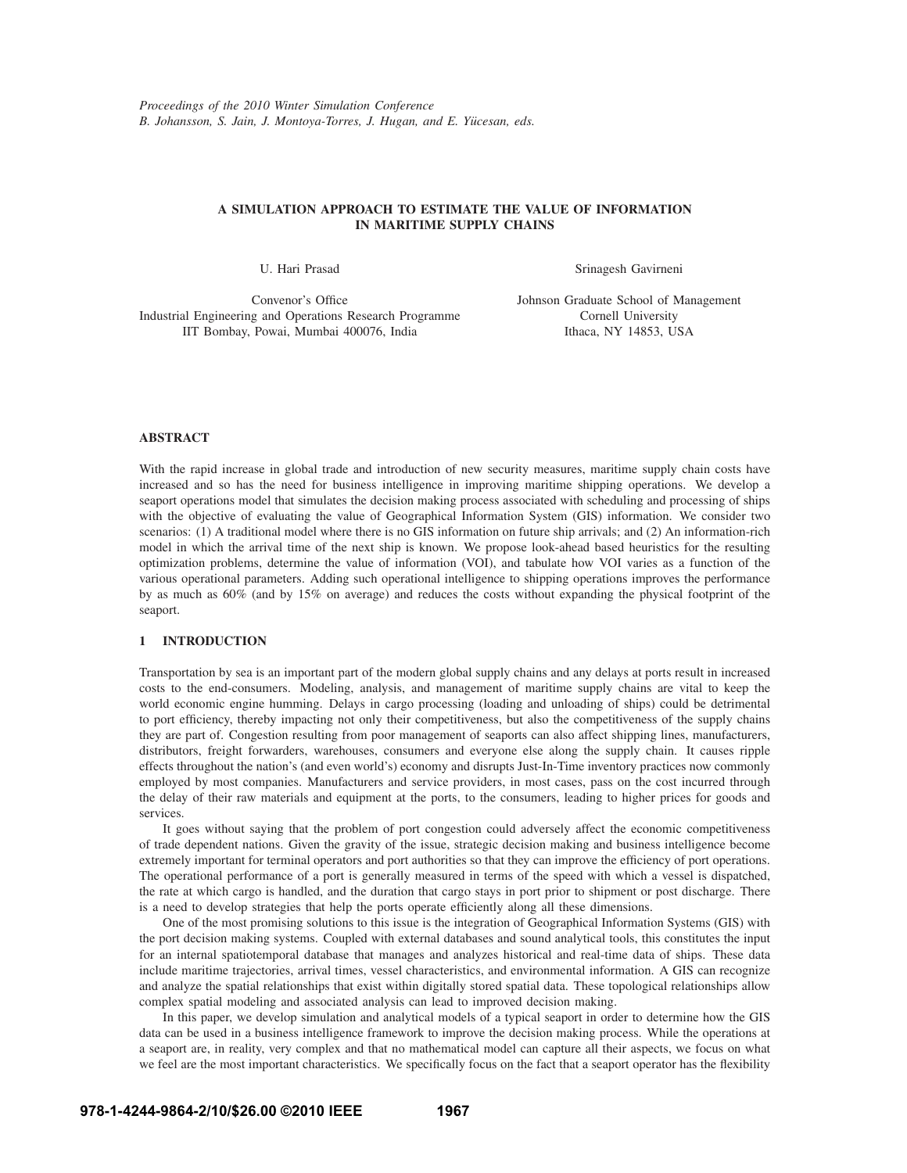# **A SIMULATION APPROACH TO ESTIMATE THE VALUE OF INFORMATION IN MARITIME SUPPLY CHAINS**

U. Hari Prasad

Srinagesh Gavirneni

Convenor's Office Industrial Engineering and Operations Research Programme IIT Bombay, Powai, Mumbai 400076, India

Johnson Graduate School of Management Cornell University Ithaca, NY 14853, USA

# **ABSTRACT**

With the rapid increase in global trade and introduction of new security measures, maritime supply chain costs have increased and so has the need for business intelligence in improving maritime shipping operations. We develop a seaport operations model that simulates the decision making process associated with scheduling and processing of ships with the objective of evaluating the value of Geographical Information System (GIS) information. We consider two scenarios: (1) A traditional model where there is no GIS information on future ship arrivals; and (2) An information-rich model in which the arrival time of the next ship is known. We propose look-ahead based heuristics for the resulting optimization problems, determine the value of information (VOI), and tabulate how VOI varies as a function of the various operational parameters. Adding such operational intelligence to shipping operations improves the performance by as much as 60% (and by 15% on average) and reduces the costs without expanding the physical footprint of the seaport.

#### **1 INTRODUCTION**

Transportation by sea is an important part of the modern global supply chains and any delays at ports result in increased costs to the end-consumers. Modeling, analysis, and management of maritime supply chains are vital to keep the world economic engine humming. Delays in cargo processing (loading and unloading of ships) could be detrimental to port efficiency, thereby impacting not only their competitiveness, but also the competitiveness of the supply chains they are part of. Congestion resulting from poor management of seaports can also affect shipping lines, manufacturers, distributors, freight forwarders, warehouses, consumers and everyone else along the supply chain. It causes ripple effects throughout the nation's (and even world's) economy and disrupts Just-In-Time inventory practices now commonly employed by most companies. Manufacturers and service providers, in most cases, pass on the cost incurred through the delay of their raw materials and equipment at the ports, to the consumers, leading to higher prices for goods and services.

It goes without saying that the problem of port congestion could adversely affect the economic competitiveness of trade dependent nations. Given the gravity of the issue, strategic decision making and business intelligence become extremely important for terminal operators and port authorities so that they can improve the efficiency of port operations. The operational performance of a port is generally measured in terms of the speed with which a vessel is dispatched, the rate at which cargo is handled, and the duration that cargo stays in port prior to shipment or post discharge. There is a need to develop strategies that help the ports operate efficiently along all these dimensions.

One of the most promising solutions to this issue is the integration of Geographical Information Systems (GIS) with the port decision making systems. Coupled with external databases and sound analytical tools, this constitutes the input for an internal spatiotemporal database that manages and analyzes historical and real-time data of ships. These data include maritime trajectories, arrival times, vessel characteristics, and environmental information. A GIS can recognize and analyze the spatial relationships that exist within digitally stored spatial data. These topological relationships allow complex spatial modeling and associated analysis can lead to improved decision making.

In this paper, we develop simulation and analytical models of a typical seaport in order to determine how the GIS data can be used in a business intelligence framework to improve the decision making process. While the operations at a seaport are, in reality, very complex and that no mathematical model can capture all their aspects, we focus on what we feel are the most important characteristics. We specifically focus on the fact that a seaport operator has the flexibility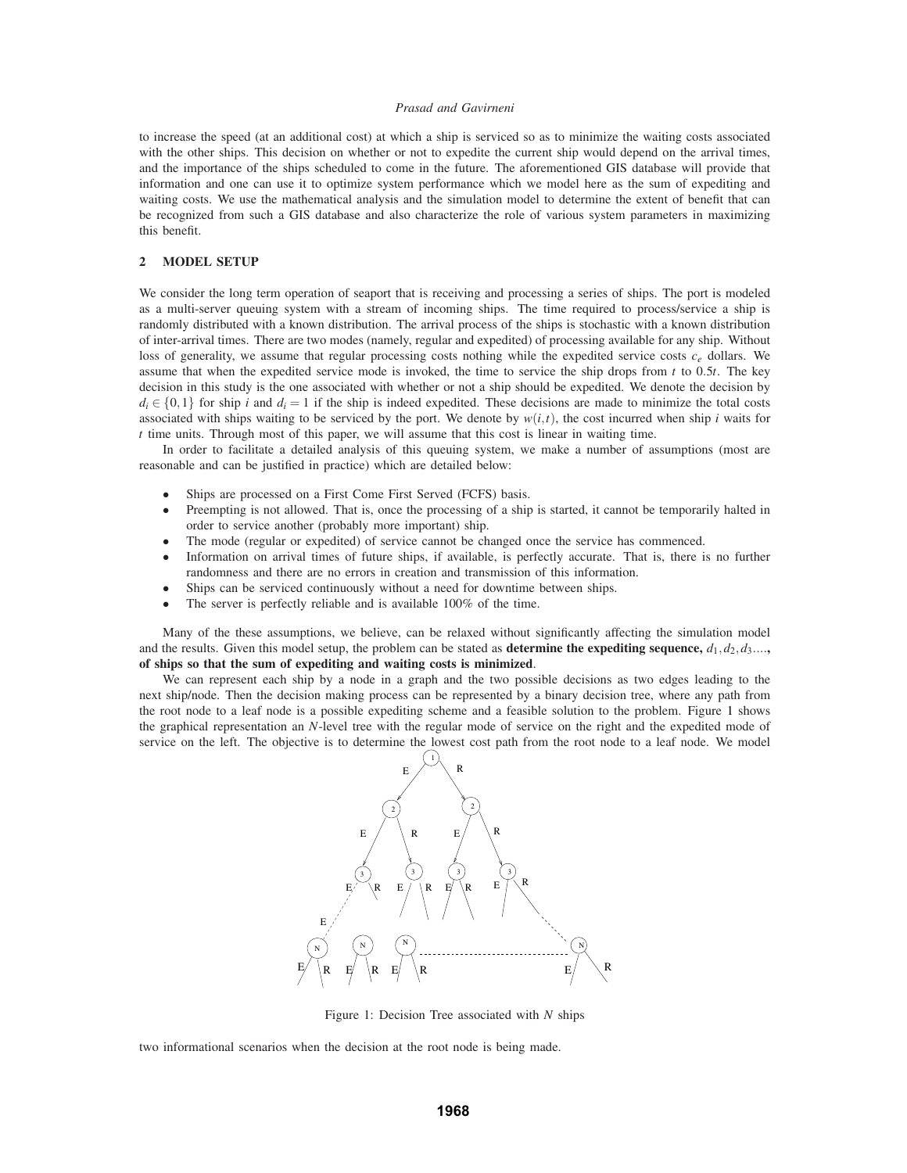to increase the speed (at an additional cost) at which a ship is serviced so as to minimize the waiting costs associated with the other ships. This decision on whether or not to expedite the current ship would depend on the arrival times, and the importance of the ships scheduled to come in the future. The aforementioned GIS database will provide that information and one can use it to optimize system performance which we model here as the sum of expediting and waiting costs. We use the mathematical analysis and the simulation model to determine the extent of benefit that can be recognized from such a GIS database and also characterize the role of various system parameters in maximizing this benefit.

# **2 MODEL SETUP**

We consider the long term operation of seaport that is receiving and processing a series of ships. The port is modeled as a multi-server queuing system with a stream of incoming ships. The time required to process/service a ship is randomly distributed with a known distribution. The arrival process of the ships is stochastic with a known distribution of inter-arrival times. There are two modes (namely, regular and expedited) of processing available for any ship. Without loss of generality, we assume that regular processing costs nothing while the expedited service costs *ce* dollars. We assume that when the expedited service mode is invoked, the time to service the ship drops from *t* to 0.5*t*. The key decision in this study is the one associated with whether or not a ship should be expedited. We denote the decision by  $d_i \in \{0,1\}$  for ship *i* and  $d_i = 1$  if the ship is indeed expedited. These decisions are made to minimize the total costs associated with ships waiting to be serviced by the port. We denote by  $w(i,t)$ , the cost incurred when ship *i* waits for *t* time units. Through most of this paper, we will assume that this cost is linear in waiting time.

In order to facilitate a detailed analysis of this queuing system, we make a number of assumptions (most are reasonable and can be justified in practice) which are detailed below:

- Ships are processed on a First Come First Served (FCFS) basis.
- Preempting is not allowed. That is, once the processing of a ship is started, it cannot be temporarily halted in order to service another (probably more important) ship.
- The mode (regular or expedited) of service cannot be changed once the service has commenced.
- Information on arrival times of future ships, if available, is perfectly accurate. That is, there is no further randomness and there are no errors in creation and transmission of this information.
- Ships can be serviced continuously without a need for downtime between ships.
- The server is perfectly reliable and is available 100% of the time.

Many of the these assumptions, we believe, can be relaxed without significantly affecting the simulation model and the results. Given this model setup, the problem can be stated as **determine the expediting sequence**,  $d_1, d_2, d_3, \ldots$ , **of ships so that the sum of expediting and waiting costs is minimized**.

We can represent each ship by a node in a graph and the two possible decisions as two edges leading to the next ship/node. Then the decision making process can be represented by a binary decision tree, where any path from the root node to a leaf node is a possible expediting scheme and a feasible solution to the problem. Figure 1 shows the graphical representation an *N*-level tree with the regular mode of service on the right and the expedited mode of service on the left. The objective is to determine the lowest cost path from the root node to a leaf node. We model



Figure 1: Decision Tree associated with *N* ships

two informational scenarios when the decision at the root node is being made.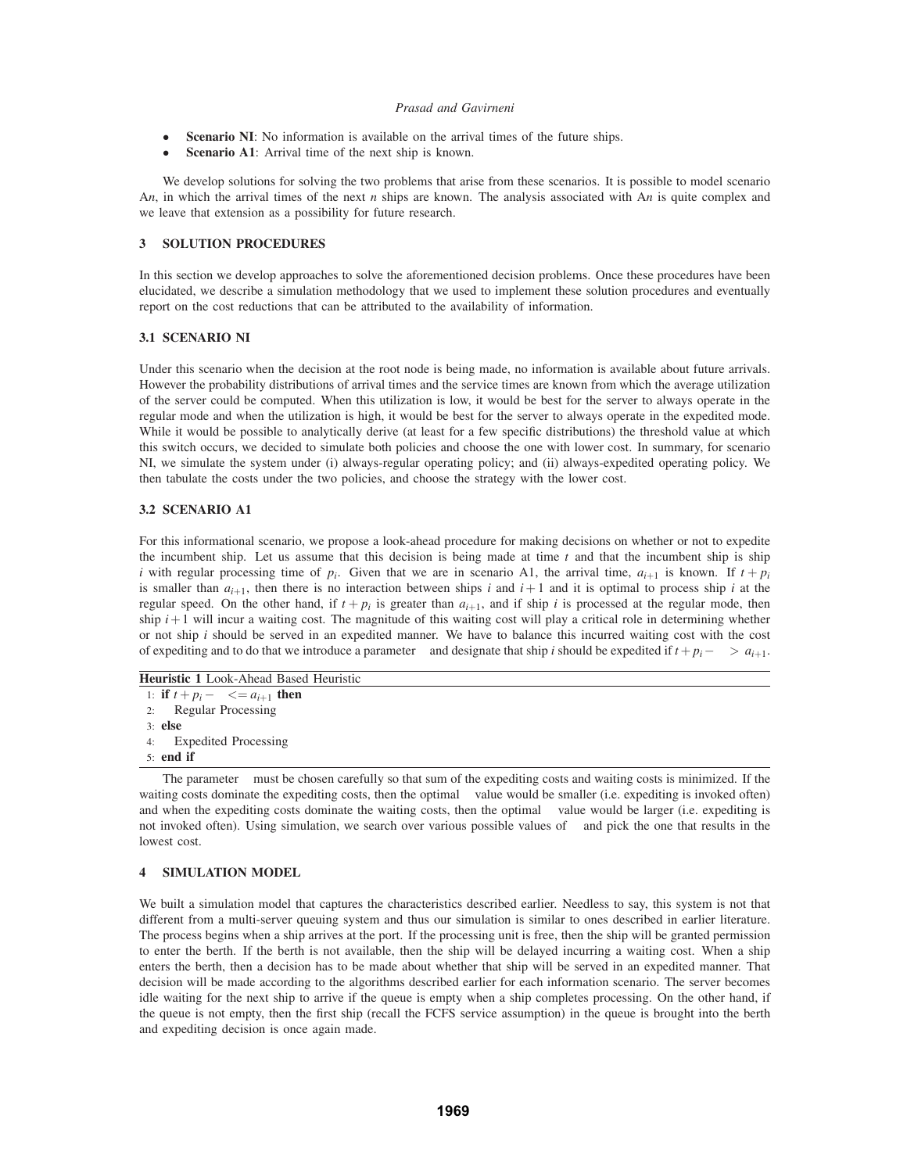- **Scenario NI**: No information is available on the arrival times of the future ships.
- **Scenario A1**: Arrival time of the next ship is known.

We develop solutions for solving the two problems that arise from these scenarios. It is possible to model scenario A*n*, in which the arrival times of the next *n* ships are known. The analysis associated with A*n* is quite complex and we leave that extension as a possibility for future research.

# **3 SOLUTION PROCEDURES**

In this section we develop approaches to solve the aforementioned decision problems. Once these procedures have been elucidated, we describe a simulation methodology that we used to implement these solution procedures and eventually report on the cost reductions that can be attributed to the availability of information.

# **3.1 SCENARIO NI**

Under this scenario when the decision at the root node is being made, no information is available about future arrivals. However the probability distributions of arrival times and the service times are known from which the average utilization of the server could be computed. When this utilization is low, it would be best for the server to always operate in the regular mode and when the utilization is high, it would be best for the server to always operate in the expedited mode. While it would be possible to analytically derive (at least for a few specific distributions) the threshold value at which this switch occurs, we decided to simulate both policies and choose the one with lower cost. In summary, for scenario NI, we simulate the system under (i) always-regular operating policy; and (ii) always-expedited operating policy. We then tabulate the costs under the two policies, and choose the strategy with the lower cost.

### **3.2 SCENARIO A1**

For this informational scenario, we propose a look-ahead procedure for making decisions on whether or not to expedite the incumbent ship. Let us assume that this decision is being made at time  $t$  and that the incumbent ship is ship *i* with regular processing time of  $p_i$ . Given that we are in scenario A1, the arrival time,  $a_{i+1}$  is known. If  $t + p_i$ is smaller than  $a_{i+1}$ , then there is no interaction between ships *i* and  $i+1$  and it is optimal to process ship *i* at the regular speed. On the other hand, if  $t + p_i$  is greater than  $a_{i+1}$ , and if ship *i* is processed at the regular mode, then ship  $i+1$  will incur a waiting cost. The magnitude of this waiting cost will play a critical role in determining whether or not ship *i* should be served in an expedited manner. We have to balance this incurred waiting cost with the cost of expediting and to do that we introduce a parameter  $\delta$  and designate that ship *i* should be expedited if  $t + p_i - \delta > a_{i+1}$ .

**Heuristic 1** Look-Ahead Based Heuristic

1: **if**  $t + p_i - \delta \leq a_{i+1}$  **then** 

2: Regular Processing

3: **else**

4: Expedited Processing

5: **end if**

The parameter  $\delta$  must be chosen carefully so that sum of the expediting costs and waiting costs is minimized. If the waiting costs dominate the expediting costs, then the optimal  $\delta$  value would be smaller (i.e. expediting is invoked often) and when the expediting costs dominate the waiting costs, then the optimal  $\delta$  value would be larger (i.e. expediting is not invoked often). Using simulation, we search over various possible values of  $\delta$  and pick the one that results in the lowest cost.

#### **4 SIMULATION MODEL**

We built a simulation model that captures the characteristics described earlier. Needless to say, this system is not that different from a multi-server queuing system and thus our simulation is similar to ones described in earlier literature. The process begins when a ship arrives at the port. If the processing unit is free, then the ship will be granted permission to enter the berth. If the berth is not available, then the ship will be delayed incurring a waiting cost. When a ship enters the berth, then a decision has to be made about whether that ship will be served in an expedited manner. That decision will be made according to the algorithms described earlier for each information scenario. The server becomes idle waiting for the next ship to arrive if the queue is empty when a ship completes processing. On the other hand, if the queue is not empty, then the first ship (recall the FCFS service assumption) in the queue is brought into the berth and expediting decision is once again made.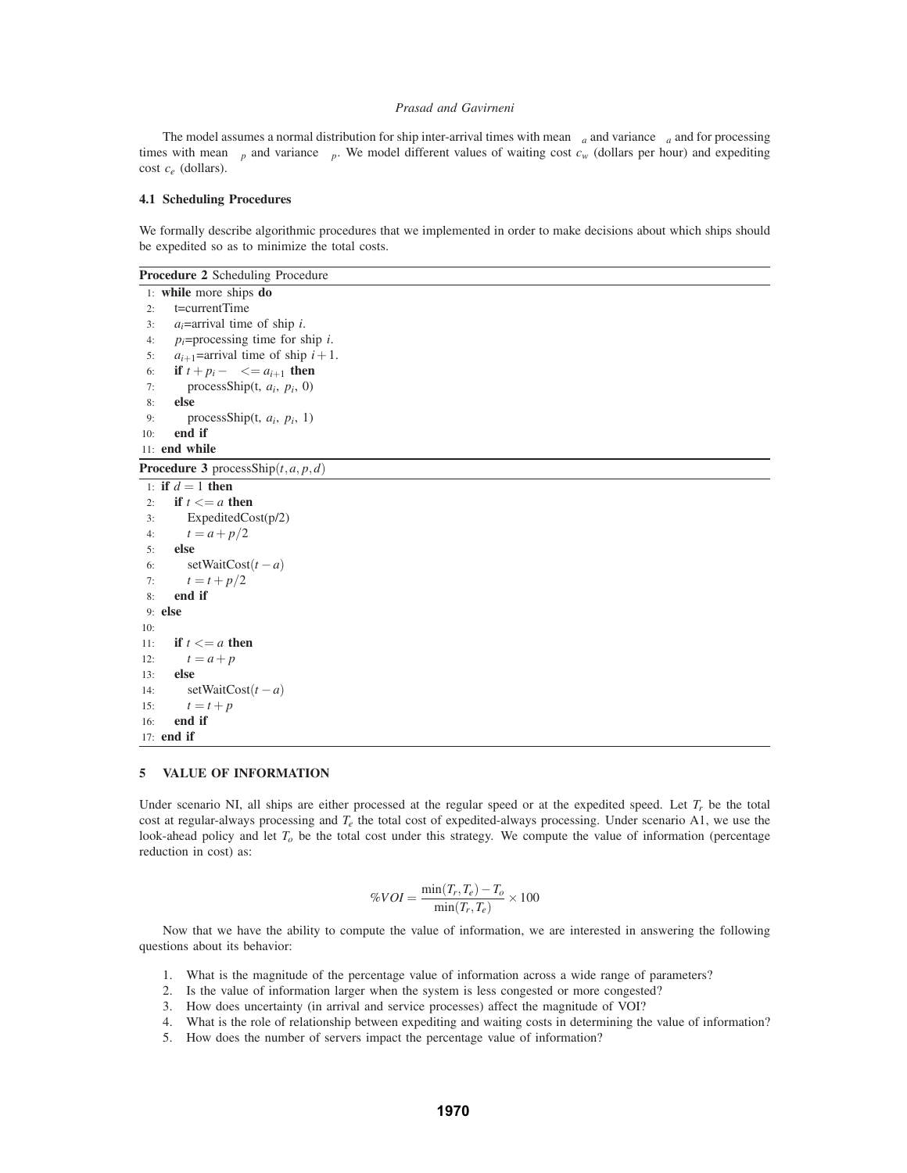The model assumes a normal distribution for ship inter-arrival times with mean  $\mu_a$  and variance  $\sigma_a$  and for processing times with mean  $\mu_p$  and variance  $\sigma_p$ . We model different values of waiting cost  $c_w$  (dollars per hour) and expediting cost *ce* (dollars).

# **4.1 Scheduling Procedures**

We formally describe algorithmic procedures that we implemented in order to make decisions about which ships should be expedited so as to minimize the total costs.

**Procedure 2** Scheduling Procedure

| 1: while more ships do<br>t=currentTime<br>2:<br>$a_i$ =arrival time of ship <i>i</i> .<br>3:<br>$p_i$ =processing time for ship <i>i</i> .<br>4:<br>$a_{i+1}$ =arrival time of ship $i+1$ .<br>5:<br>if $t + p_i - \delta \leq a_{i+1}$ then<br>6:<br>processShip(t, $a_i$ , $p_i$ , 0)<br>7:<br>else<br>8:<br>processShip(t, $a_i$ , $p_i$ , 1)<br>9:<br>end if<br>10:<br>11: <b>end while</b> |  |
|--------------------------------------------------------------------------------------------------------------------------------------------------------------------------------------------------------------------------------------------------------------------------------------------------------------------------------------------------------------------------------------------------|--|
|                                                                                                                                                                                                                                                                                                                                                                                                  |  |
|                                                                                                                                                                                                                                                                                                                                                                                                  |  |
|                                                                                                                                                                                                                                                                                                                                                                                                  |  |
|                                                                                                                                                                                                                                                                                                                                                                                                  |  |
|                                                                                                                                                                                                                                                                                                                                                                                                  |  |
|                                                                                                                                                                                                                                                                                                                                                                                                  |  |
|                                                                                                                                                                                                                                                                                                                                                                                                  |  |
|                                                                                                                                                                                                                                                                                                                                                                                                  |  |
|                                                                                                                                                                                                                                                                                                                                                                                                  |  |
|                                                                                                                                                                                                                                                                                                                                                                                                  |  |
|                                                                                                                                                                                                                                                                                                                                                                                                  |  |

**Procedure 3** processShip $(t, a, p, d)$ 

```
1: if d = 1 then
2: if t \le a then
3: ExpeditedCost(p/2)
4: t = a + p/25: else
6: setWaitCost(t - a)7: t = t + p/28: end if
9: else
10<sup>1</sup>11: if t \le a then
12: t = a + p13: else
14: setWaitCost(t −a)
15: t = t + p16: end if
17: end if
```
## **5 VALUE OF INFORMATION**

Under scenario NI, all ships are either processed at the regular speed or at the expedited speed. Let  $T_r$  be the total cost at regular-always processing and *Te* the total cost of expedited-always processing. Under scenario A1, we use the look-ahead policy and let *To* be the total cost under this strategy. We compute the value of information (percentage reduction in cost) as:

$$
\%VOI = \frac{\min(T_r, T_e) - T_o}{\min(T_r, T_e)} \times 100
$$

Now that we have the ability to compute the value of information, we are interested in answering the following questions about its behavior:

- 1. What is the magnitude of the percentage value of information across a wide range of parameters?
- 2. Is the value of information larger when the system is less congested or more congested?
- 3. How does uncertainty (in arrival and service processes) affect the magnitude of VOI?
- 4. What is the role of relationship between expediting and waiting costs in determining the value of information?
- 5. How does the number of servers impact the percentage value of information?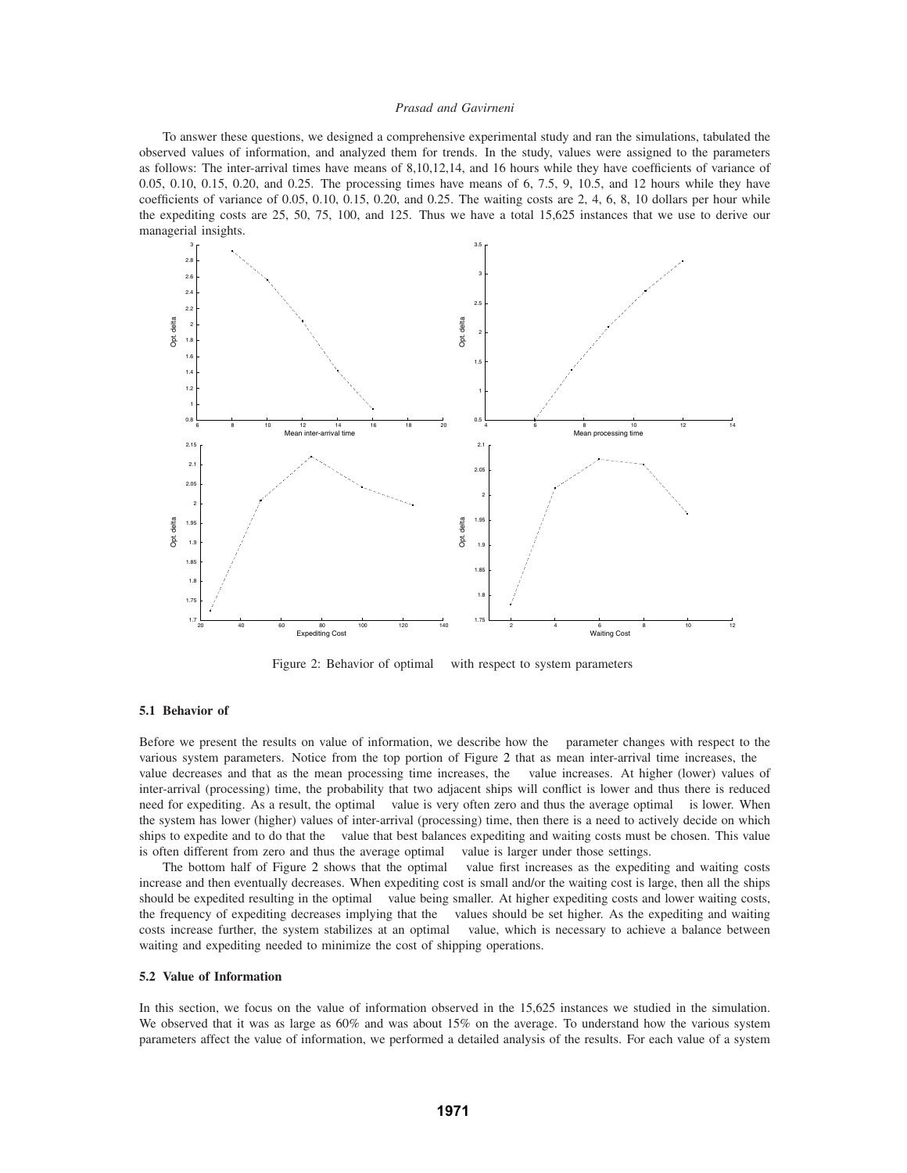To answer these questions, we designed a comprehensive experimental study and ran the simulations, tabulated the observed values of information, and analyzed them for trends. In the study, values were assigned to the parameters as follows: The inter-arrival times have means of 8,10,12,14, and 16 hours while they have coefficients of variance of 0.05, 0.10, 0.15, 0.20, and 0.25. The processing times have means of 6, 7.5, 9, 10.5, and 12 hours while they have coefficients of variance of  $0.05$ ,  $0.10$ ,  $0.15$ ,  $0.20$ , and  $0.25$ . The waiting costs are  $2, 4, 6, 8, 10$  dollars per hour while the expediting costs are 25, 50, 75, 100, and 125. Thus we have a total 15,625 instances that we use to derive our managerial insights.



Figure 2: Behavior of optimal  $\delta$  with respect to system parameters

#### **5.1 Behavior of** δ

Before we present the results on value of information, we describe how the  $\delta$  parameter changes with respect to the various system parameters. Notice from the top portion of Figure 2 that as mean inter-arrival time increases, the  $\delta$ value decreases and that as the mean processing time increases, the  $\delta$  value increases. At higher (lower) values of inter-arrival (processing) time, the probability that two adjacent ships will conflict is lower and thus there is reduced need for expediting. As a result, the optimal  $\delta$  value is very often zero and thus the average optimal  $\delta$  is lower. When the system has lower (higher) values of inter-arrival (processing) time, then there is a need to actively decide on which ships to expedite and to do that the  $\delta$  value that best balances expediting and waiting costs must be chosen. This value is often different from zero and thus the average optimal  $\delta$  value is larger under those settings.

The bottom half of Figure 2 shows that the optimal  $\delta$  value first increases as the expediting and waiting costs increase and then eventually decreases. When expediting cost is small and/or the waiting cost is large, then all the ships should be expedited resulting in the optimal  $\delta$  value being smaller. At higher expediting costs and lower waiting costs, the frequency of expediting decreases implying that the  $\delta$  values should be set higher. As the expediting and waiting costs increase further, the system stabilizes at an optimal  $\delta$  value, which is necessary to achieve a balance between waiting and expediting needed to minimize the cost of shipping operations.

#### **5.2 Value of Information**

In this section, we focus on the value of information observed in the 15,625 instances we studied in the simulation. We observed that it was as large as 60% and was about 15% on the average. To understand how the various system parameters affect the value of information, we performed a detailed analysis of the results. For each value of a system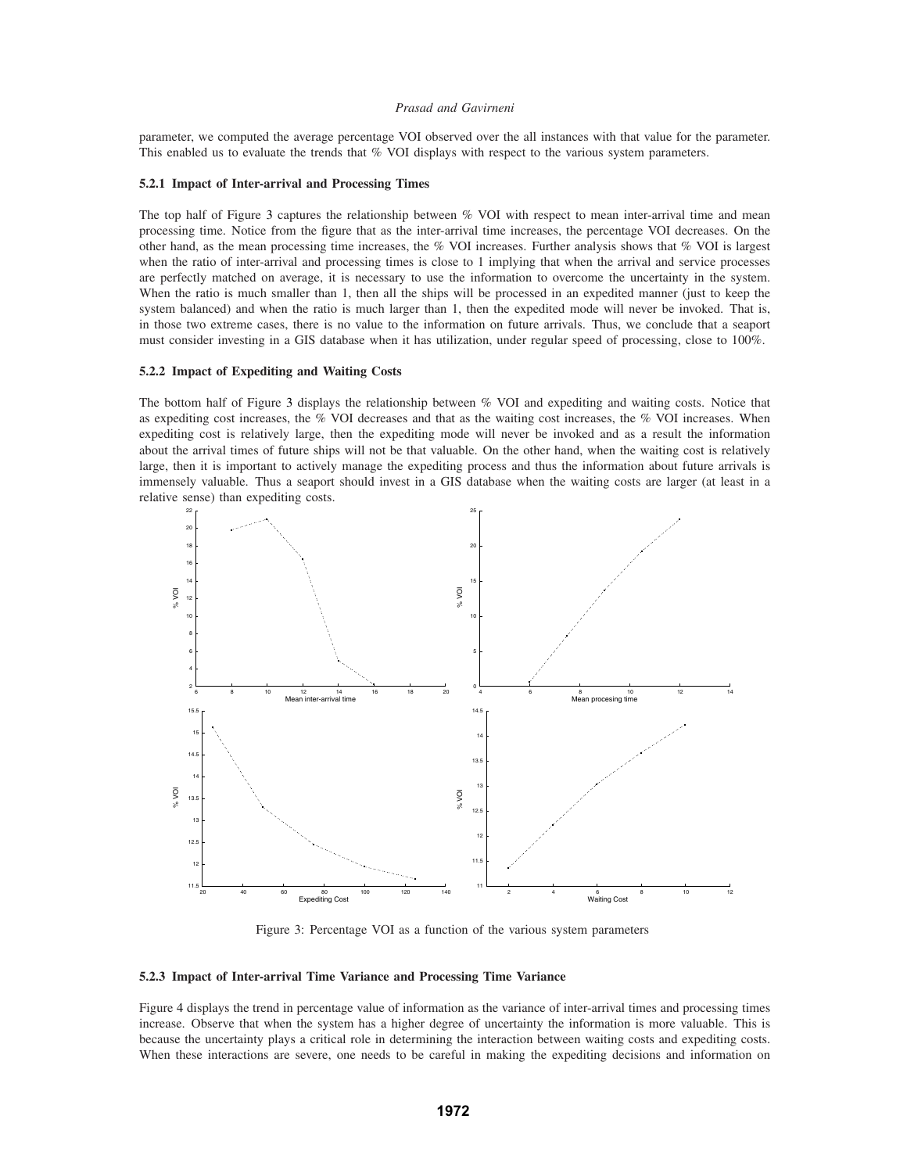parameter, we computed the average percentage VOI observed over the all instances with that value for the parameter. This enabled us to evaluate the trends that % VOI displays with respect to the various system parameters.

#### **5.2.1 Impact of Inter-arrival and Processing Times**

The top half of Figure 3 captures the relationship between % VOI with respect to mean inter-arrival time and mean processing time. Notice from the figure that as the inter-arrival time increases, the percentage VOI decreases. On the other hand, as the mean processing time increases, the % VOI increases. Further analysis shows that % VOI is largest when the ratio of inter-arrival and processing times is close to 1 implying that when the arrival and service processes are perfectly matched on average, it is necessary to use the information to overcome the uncertainty in the system. When the ratio is much smaller than 1, then all the ships will be processed in an expedited manner (just to keep the system balanced) and when the ratio is much larger than 1, then the expedited mode will never be invoked. That is, in those two extreme cases, there is no value to the information on future arrivals. Thus, we conclude that a seaport must consider investing in a GIS database when it has utilization, under regular speed of processing, close to 100%.

#### **5.2.2 Impact of Expediting and Waiting Costs**

The bottom half of Figure 3 displays the relationship between % VOI and expediting and waiting costs. Notice that as expediting cost increases, the % VOI decreases and that as the waiting cost increases, the % VOI increases. When expediting cost is relatively large, then the expediting mode will never be invoked and as a result the information about the arrival times of future ships will not be that valuable. On the other hand, when the waiting cost is relatively large, then it is important to actively manage the expediting process and thus the information about future arrivals is immensely valuable. Thus a seaport should invest in a GIS database when the waiting costs are larger (at least in a relative sense) than expediting costs.



Figure 3: Percentage VOI as a function of the various system parameters

#### **5.2.3 Impact of Inter-arrival Time Variance and Processing Time Variance**

Figure 4 displays the trend in percentage value of information as the variance of inter-arrival times and processing times increase. Observe that when the system has a higher degree of uncertainty the information is more valuable. This is because the uncertainty plays a critical role in determining the interaction between waiting costs and expediting costs. When these interactions are severe, one needs to be careful in making the expediting decisions and information on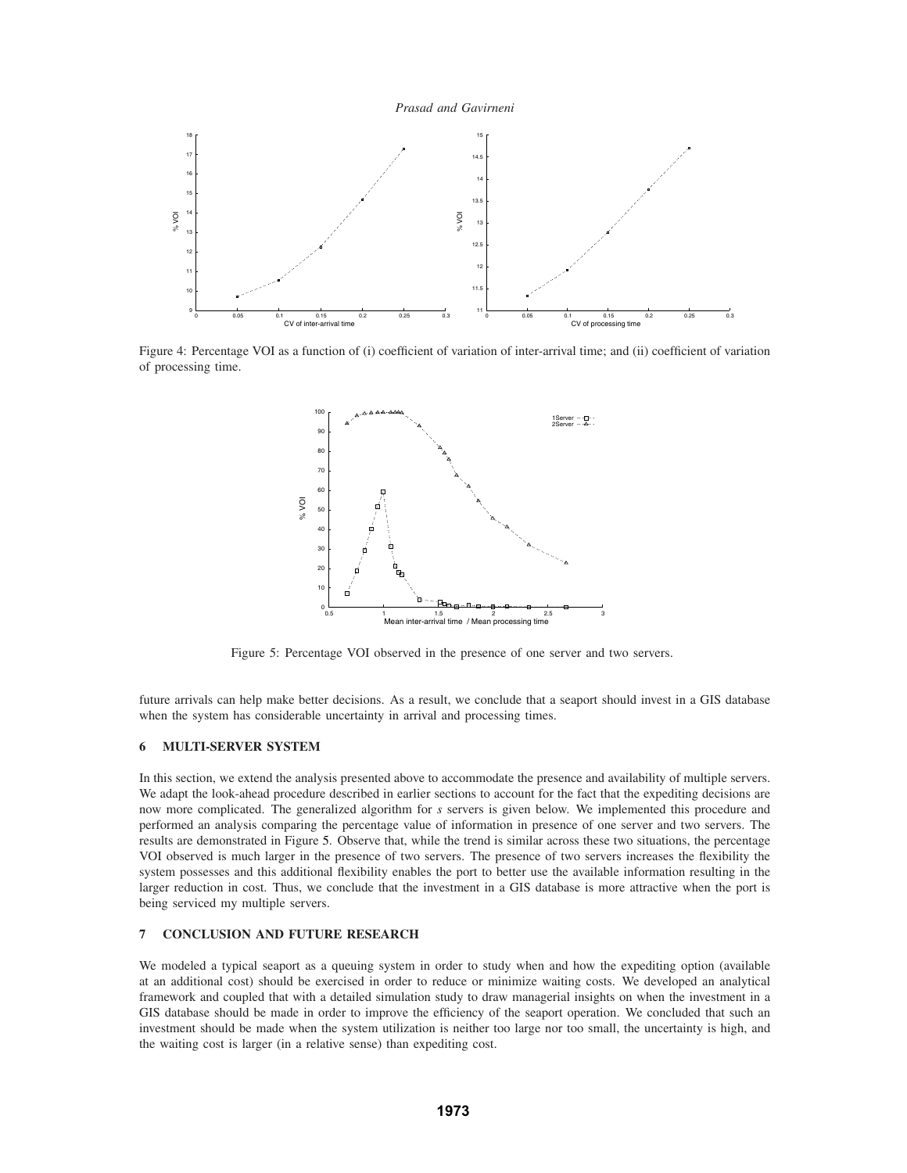

Figure 4: Percentage VOI as a function of (i) coefficient of variation of inter-arrival time; and (ii) coefficient of variation of processing time.



Figure 5: Percentage VOI observed in the presence of one server and two servers.

future arrivals can help make better decisions. As a result, we conclude that a seaport should invest in a GIS database when the system has considerable uncertainty in arrival and processing times.

### **6 MULTI-SERVER SYSTEM**

In this section, we extend the analysis presented above to accommodate the presence and availability of multiple servers. We adapt the look-ahead procedure described in earlier sections to account for the fact that the expediting decisions are now more complicated. The generalized algorithm for *s* servers is given below. We implemented this procedure and performed an analysis comparing the percentage value of information in presence of one server and two servers. The results are demonstrated in Figure 5. Observe that, while the trend is similar across these two situations, the percentage VOI observed is much larger in the presence of two servers. The presence of two servers increases the flexibility the system possesses and this additional flexibility enables the port to better use the available information resulting in the larger reduction in cost. Thus, we conclude that the investment in a GIS database is more attractive when the port is being serviced my multiple servers.

### **7 CONCLUSION AND FUTURE RESEARCH**

We modeled a typical seaport as a queuing system in order to study when and how the expediting option (available at an additional cost) should be exercised in order to reduce or minimize waiting costs. We developed an analytical framework and coupled that with a detailed simulation study to draw managerial insights on when the investment in a GIS database should be made in order to improve the efficiency of the seaport operation. We concluded that such an investment should be made when the system utilization is neither too large nor too small, the uncertainty is high, and the waiting cost is larger (in a relative sense) than expediting cost.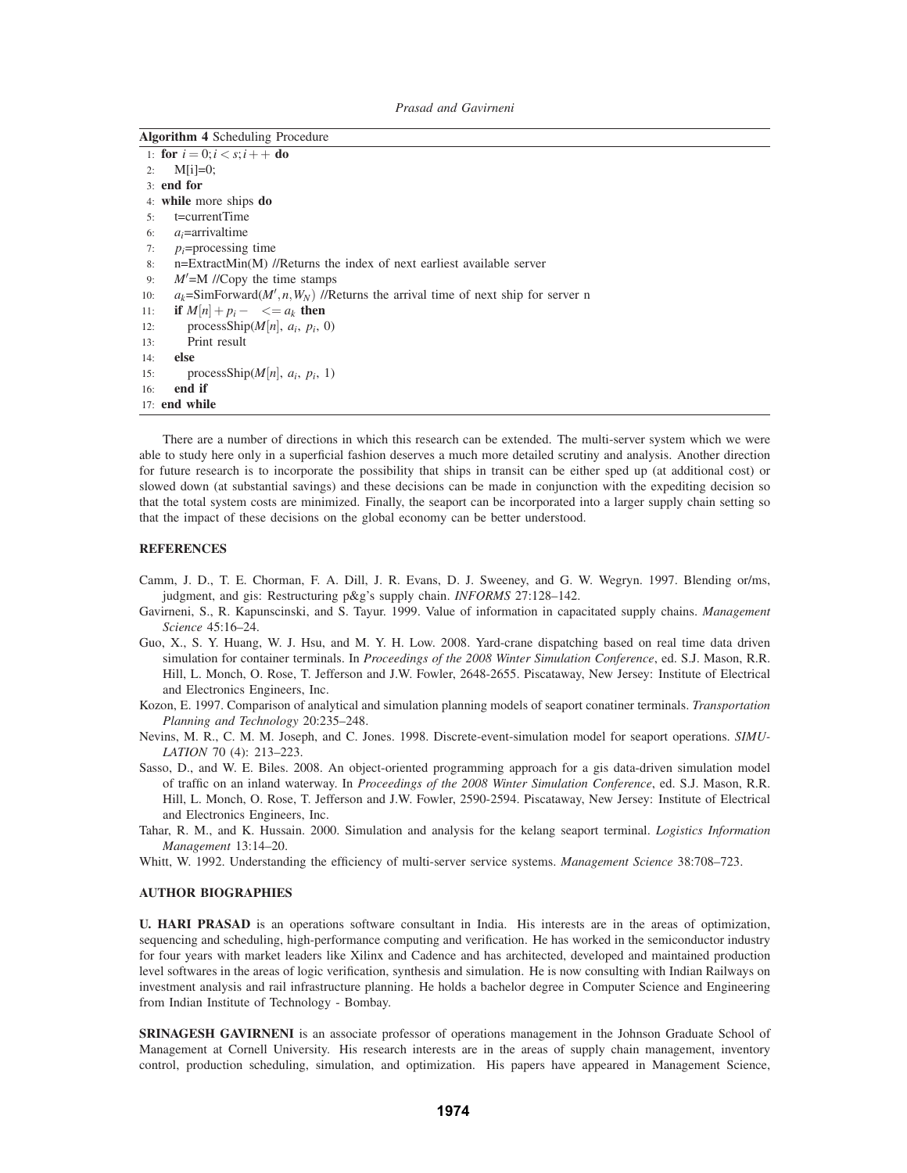| Algorithm 4 Scheduling Procedure |  |  |
|----------------------------------|--|--|
|----------------------------------|--|--|

1: **for**  $i = 0; i < s; i++d$ **o** 2:  $M[i]=0;$ 3: **end for** 4: **while** more ships **do** 5: t=currentTime 6: *ai*=arrivaltime 7: *pi*=processing time 8: n=ExtractMin(M) //Returns the index of next earliest available server 9:  $M' = M / / Copy$  the time stamps 10:  $a_k = SimForward(M', n, W_N)$  //Returns the arrival time of next ship for server n 11: **if**  $M[n] + p_i - \delta \leq a_k$  **then** 12: processShip( $M[n]$ ,  $a_i$ ,  $p_i$ , 0) 13: Print result 14: **else** 15: processShip( $M[n]$ ,  $a_i$ ,  $p_i$ , 1) 16: **end if** 17: **end while**

There are a number of directions in which this research can be extended. The multi-server system which we were able to study here only in a superficial fashion deserves a much more detailed scrutiny and analysis. Another direction for future research is to incorporate the possibility that ships in transit can be either sped up (at additional cost) or slowed down (at substantial savings) and these decisions can be made in conjunction with the expediting decision so that the total system costs are minimized. Finally, the seaport can be incorporated into a larger supply chain setting so that the impact of these decisions on the global economy can be better understood.

# **REFERENCES**

- Camm, J. D., T. E. Chorman, F. A. Dill, J. R. Evans, D. J. Sweeney, and G. W. Wegryn. 1997. Blending or/ms, judgment, and gis: Restructuring p&g's supply chain. *INFORMS* 27:128–142.
- Gavirneni, S., R. Kapunscinski, and S. Tayur. 1999. Value of information in capacitated supply chains. *Management Science* 45:16–24.
- Guo, X., S. Y. Huang, W. J. Hsu, and M. Y. H. Low. 2008. Yard-crane dispatching based on real time data driven simulation for container terminals. In *Proceedings of the 2008 Winter Simulation Conference*, ed. S.J. Mason, R.R. Hill, L. Monch, O. Rose, T. Jefferson and J.W. Fowler, 2648-2655. Piscataway, New Jersey: Institute of Electrical and Electronics Engineers, Inc.
- Kozon, E. 1997. Comparison of analytical and simulation planning models of seaport conatiner terminals. *Transportation Planning and Technology* 20:235–248.
- Nevins, M. R., C. M. M. Joseph, and C. Jones. 1998. Discrete-event-simulation model for seaport operations. *SIMU-LATION* 70 (4): 213–223.
- Sasso, D., and W. E. Biles. 2008. An object-oriented programming approach for a gis data-driven simulation model of traffic on an inland waterway. In *Proceedings of the 2008 Winter Simulation Conference*, ed. S.J. Mason, R.R. Hill, L. Monch, O. Rose, T. Jefferson and J.W. Fowler, 2590-2594. Piscataway, New Jersey: Institute of Electrical and Electronics Engineers, Inc.
- Tahar, R. M., and K. Hussain. 2000. Simulation and analysis for the kelang seaport terminal. *Logistics Information Management* 13:14–20.

Whitt, W. 1992. Understanding the efficiency of multi-server service systems. *Management Science* 38:708–723.

#### **AUTHOR BIOGRAPHIES**

**U. HARI PRASAD** is an operations software consultant in India. His interests are in the areas of optimization, sequencing and scheduling, high-performance computing and verification. He has worked in the semiconductor industry for four years with market leaders like Xilinx and Cadence and has architected, developed and maintained production level softwares in the areas of logic verification, synthesis and simulation. He is now consulting with Indian Railways on investment analysis and rail infrastructure planning. He holds a bachelor degree in Computer Science and Engineering from Indian Institute of Technology - Bombay.

**SRINAGESH GAVIRNENI** is an associate professor of operations management in the Johnson Graduate School of Management at Cornell University. His research interests are in the areas of supply chain management, inventory control, production scheduling, simulation, and optimization. His papers have appeared in Management Science,